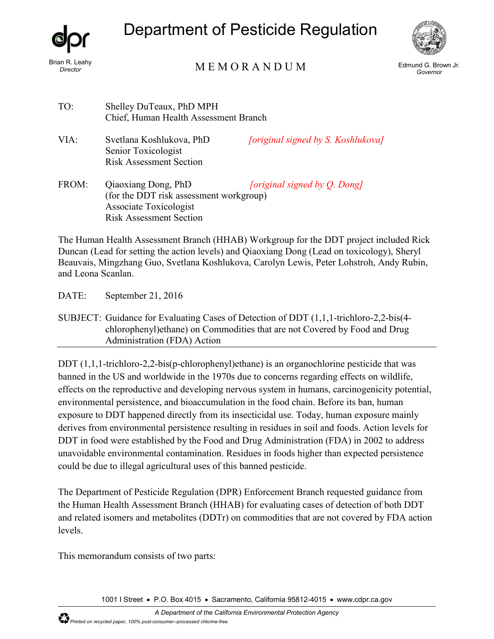

# Department of Pesticide Regulation



## Brian R. Leahy<br>*Director* Edmund G. Brown Jr. (*Governor* M E M O R A N D U M Edmund G. Brown Jr.

*Governor*

| TO:   | Shelley DuTeaux, PhD MPH<br>Chief, Human Health Assessment Branch                                                          |                                    |
|-------|----------------------------------------------------------------------------------------------------------------------------|------------------------------------|
| VIA:  | Svetlana Koshlukova, PhD<br>Senior Toxicologist<br><b>Risk Assessment Section</b>                                          | [original signed by S. Koshlukova] |
| FROM: | Qiaoxiang Dong, PhD<br>(for the DDT risk assessment workgroup)<br>Associate Toxicologist<br><b>Risk Assessment Section</b> | [original signed by Q. Dong]       |

The Human Health Assessment Branch (HHAB) Workgroup for the DDT project included Rick Duncan (Lead for setting the action levels) and Qiaoxiang Dong (Lead on toxicology), Sheryl Beauvais, Mingzhang Guo, Svetlana Koshlukova, Carolyn Lewis, Peter Lohstroh, Andy Rubin, and Leona Scanlan.

DATE: September 21, 2016

SUBJECT: Guidance for Evaluating Cases of Detection of DDT (1,1,1-trichloro-2,2-bis(4 chlorophenyl)ethane) on Commodities that are not Covered by Food and Drug Administration (FDA) Action

DDT (1,1,1-trichloro-2,2-bis(p-chlorophenyl)ethane) is an organochlorine pesticide that was banned in the US and worldwide in the 1970s due to concerns regarding effects on wildlife, effects on the reproductive and developing nervous system in humans, carcinogenicity potential, environmental persistence, and bioaccumulation in the food chain. Before its ban, human exposure to DDT happened directly from its insecticidal use. Today, human exposure mainly derives from environmental persistence resulting in residues in soil and foods. Action levels for DDT in food were established by the Food and Drug Administration (FDA) in 2002 to address unavoidable environmental contamination. Residues in foods higher than expected persistence could be due to illegal agricultural uses of this banned pesticide.

The Department of Pesticide Regulation (DPR) Enforcement Branch requested guidance from the Human Health Assessment Branch (HHAB) for evaluating cases of detection of both DDT and related isomers and metabolites (DDTr) on commodities that are not covered by FDA action levels.

This memorandum consists of two parts:

1001 I Street • P.O. Box 4015 • Sacramento, California 95812-4015 • www.cdpr.ca.gov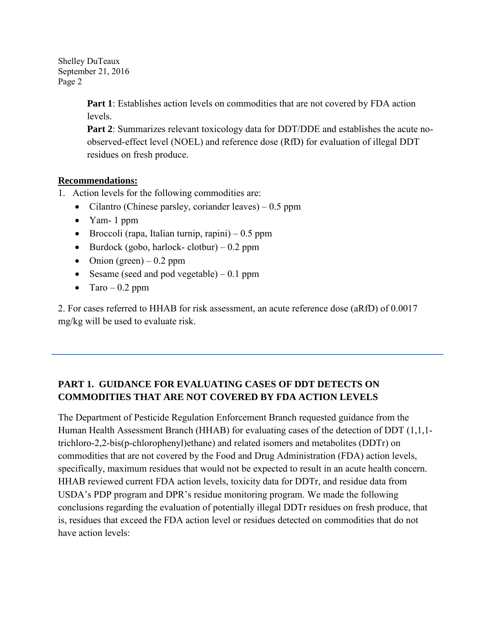> **Part 1**: Establishes action levels on commodities that are not covered by FDA action levels.

**Part 2**: Summarizes relevant toxicology data for DDT/DDE and establishes the acute noobserved-effect level (NOEL) and reference dose (RfD) for evaluation of illegal DDT residues on fresh produce.

## **Recommendations:**

- 1. Action levels for the following commodities are:
	- Cilantro (Chinese parsley, coriander leaves) 0.5 ppm
	- Yam- 1 ppm
	- Broccoli (rapa, Italian turnip, rapini)  $-0.5$  ppm
	- Burdock (gobo, harlock- clotbur) 0.2 ppm
	- Onion (green) 0.2 ppm
	- Sesame (seed and pod vegetable)  $-0.1$  ppm
	- Taro 0.2 ppm

2. For cases referred to HHAB for risk assessment, an acute reference dose (aRfD) of 0.0017 mg/kg will be used to evaluate risk.

## **PART 1. GUIDANCE FOR EVALUATING CASES OF DDT DETECTS ON COMMODITIES THAT ARE NOT COVERED BY FDA ACTION LEVELS**

The Department of Pesticide Regulation Enforcement Branch requested guidance from the Human Health Assessment Branch (HHAB) for evaluating cases of the detection of DDT (1,1,1 trichloro-2,2-bis(p-chlorophenyl)ethane) and related isomers and metabolites (DDTr) on commodities that are not covered by the Food and Drug Administration (FDA) action levels, specifically, maximum residues that would not be expected to result in an acute health concern. HHAB reviewed current FDA action levels, toxicity data for DDTr, and residue data from USDA's PDP program and DPR's residue monitoring program. We made the following conclusions regarding the evaluation of potentially illegal DDTr residues on fresh produce, that is, residues that exceed the FDA action level or residues detected on commodities that do not have action levels: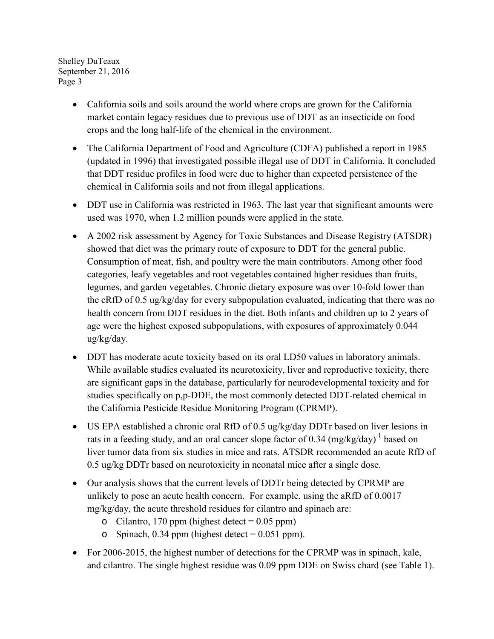- California soils and soils around the world where crops are grown for the California market contain legacy residues due to previous use of DDT as an insecticide on food crops and the long half-life of the chemical in the environment.
- The California Department of Food and Agriculture (CDFA) published a report in 1985 (updated in 1996) that investigated possible illegal use of DDT in California. It concluded that DDT residue profiles in food were due to higher than expected persistence of the chemical in California soils and not from illegal applications.
- DDT use in California was restricted in 1963. The last year that significant amounts were used was 1970, when 1.2 million pounds were applied in the state.
- A 2002 risk assessment by Agency for Toxic Substances and Disease Registry (ATSDR) showed that diet was the primary route of exposure to DDT for the general public. Consumption of meat, fish, and poultry were the main contributors. Among other food categories, leafy vegetables and root vegetables contained higher residues than fruits, legumes, and garden vegetables. Chronic dietary exposure was over 10-fold lower than the cRfD of 0.5 ug/kg/day for every subpopulation evaluated, indicating that there was no health concern from DDT residues in the diet. Both infants and children up to 2 years of age were the highest exposed subpopulations, with exposures of approximately 0.044 ug/kg/day.
- DDT has moderate acute toxicity based on its oral LD50 values in laboratory animals. While available studies evaluated its neurotoxicity, liver and reproductive toxicity, there are significant gaps in the database, particularly for neurodevelopmental toxicity and for studies specifically on p,p-DDE, the most commonly detected DDT-related chemical in the California Pesticide Residue Monitoring Program (CPRMP).
- US EPA established a chronic oral RfD of 0.5 ug/kg/day DDTr based on liver lesions in rats in a feeding study, and an oral cancer slope factor of 0.34  $(mg/kg/day)^{-1}$  based on liver tumor data from six studies in mice and rats. ATSDR recommended an acute RfD of 0.5 ug/kg DDTr based on neurotoxicity in neonatal mice after a single dose.
- Our analysis shows that the current levels of DDTr being detected by CPRMP are unlikely to pose an acute health concern. For example, using the aRfD of 0.0017 mg/kg/day, the acute threshold residues for cilantro and spinach are:
	- o Cilantro, 170 ppm (highest detect =  $0.05$  ppm)
	- o Spinach, 0.34 ppm (highest detect  $= 0.051$  ppm).
- For 2006-2015, the highest number of detections for the CPRMP was in spinach, kale, and cilantro. The single highest residue was 0.09 ppm DDE on Swiss chard (see Table 1).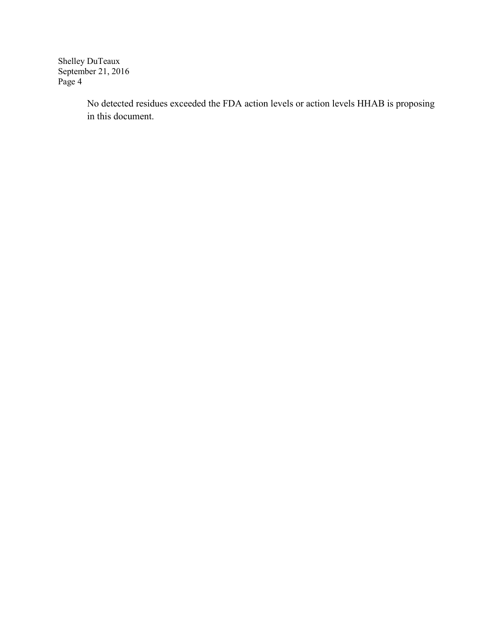> No detected residues exceeded the FDA action levels or action levels HHAB is proposing in this document.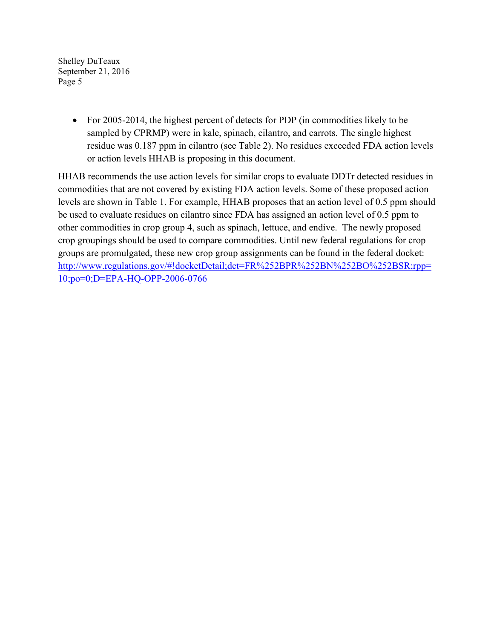> • For 2005-2014, the highest percent of detects for PDP (in commodities likely to be sampled by CPRMP) were in kale, spinach, cilantro, and carrots. The single highest residue was 0.187 ppm in cilantro (see Table 2). No residues exceeded FDA action levels or action levels HHAB is proposing in this document.

HHAB recommends the use action levels for similar crops to evaluate DDTr detected residues in commodities that are not covered by existing FDA action levels. Some of these proposed action levels are shown in Table 1. For example, HHAB proposes that an action level of 0.5 ppm should be used to evaluate residues on cilantro since FDA has assigned an action level of 0.5 ppm to other commodities in crop group 4, such as spinach, lettuce, and endive. The newly proposed crop groupings should be used to compare commodities. Until new federal regulations for crop groups are promulgated, these new crop group assignments can be found in the federal docket: [http://www.regulations.gov/#!docketDetail;dct=FR%252BPR%252BN%252BO%252BSR;rpp=](http://www.regulations.gov/#!docketDetail;dct=FR%252BPR%252BN%252BO%252BSR;rpp=10;po=0;D=EPA-HQ-OPP-2006-0766) [10;po=0;D=EPA-HQ-OPP-2006-0766](http://www.regulations.gov/#!docketDetail;dct=FR%252BPR%252BN%252BO%252BSR;rpp=10;po=0;D=EPA-HQ-OPP-2006-0766)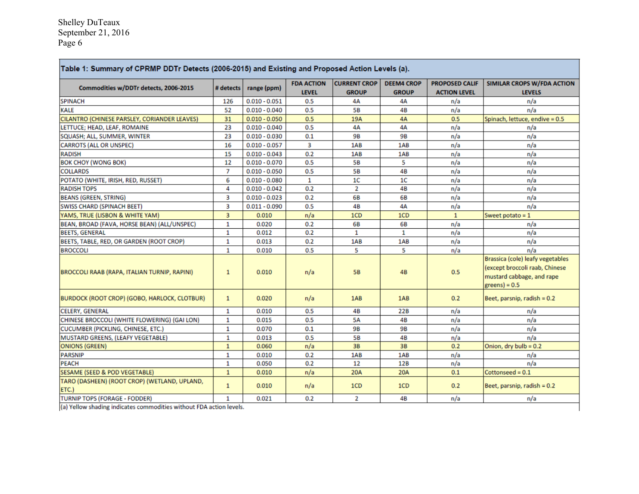г

| Commodities w/DDTr detects, 2006-2015                 | # detects      | range (ppm)     | <b>FDA ACTION</b> | <b>CURRENT CROP</b> | <b>DEEM4 CROP</b> | <b>PROPOSED CALIF</b> | <b>SIMILAR CROPS W/FDA ACTION</b>                                                                                  |
|-------------------------------------------------------|----------------|-----------------|-------------------|---------------------|-------------------|-----------------------|--------------------------------------------------------------------------------------------------------------------|
|                                                       |                |                 | <b>LEVEL</b>      | <b>GROUP</b>        | <b>GROUP</b>      | <b>ACTION LEVEL</b>   | <b>LEVELS</b>                                                                                                      |
| <b>SPINACH</b>                                        | 126            | $0.010 - 0.051$ | 0.5               | 4A                  | 4А                | n/a                   | n/a                                                                                                                |
| <b>KALE</b>                                           | 52             | $0.010 - 0.040$ | 0.5               | <b>5B</b>           | 4B                | n/a                   | n/a                                                                                                                |
| CILANTRO (CHINESE PARSLEY, CORIANDER LEAVES)          | 31             | $0.010 - 0.050$ | 0.5               | 19A                 | 4A                | 0.5                   | Spinach, lettuce, endive = 0.5                                                                                     |
| LETTUCE; HEAD, LEAF, ROMAINE                          | 23             | $0.010 - 0.040$ | 0.5               | 4A                  | 4A                | n/a                   | n/a                                                                                                                |
| SQUASH; ALL, SUMMER, WINTER                           | 23             | $0.010 - 0.030$ | 0.1               | 9B                  | 9B                | n/a                   | n/a                                                                                                                |
| <b>CARROTS (ALL OR UNSPEC)</b>                        | 16             | $0.010 - 0.057$ | 3                 | 1AB                 | 1AB               | n/a                   | n/a                                                                                                                |
| <b>RADISH</b>                                         | 15             | $0.010 - 0.043$ | 0.2               | 1AB                 | 1AB               | n/a                   | n/a                                                                                                                |
| <b>BOK CHOY (WONG BOK)</b>                            | 12             | $0.010 - 0.070$ | 0.5               | <b>5B</b>           | 5                 | n/a                   | n/a                                                                                                                |
| <b>COLLARDS</b>                                       | $\overline{7}$ | $0.010 - 0.050$ | 0.5               | <b>5B</b>           | 4B                | n/a                   | n/a                                                                                                                |
| POTATO (WHITE, IRISH, RED, RUSSET)                    | 6              | $0.010 - 0.080$ | $\mathbf{1}$      | 1 <sup>C</sup>      | 1 <sup>C</sup>    | n/a                   | n/a                                                                                                                |
| <b>RADISH TOPS</b>                                    | 4              | $0.010 - 0.042$ | 0.2               | $\overline{2}$      | 4B                | n/a                   | n/a                                                                                                                |
| <b>BEANS (GREEN, STRING)</b>                          | 3              | $0.010 - 0.023$ | 0.2               | 6B                  | 6B                | n/a                   | n/a                                                                                                                |
| <b>SWISS CHARD (SPINACH BEET)</b>                     | 3              | $0.011 - 0.090$ | 0.5               | 4B                  | 4A                | n/a                   | n/a                                                                                                                |
| YAMS, TRUE (LISBON & WHITE YAM)                       | 3              | 0.010           | n/a               | 1CD                 | 1CD               | $\mathbf{1}$          | Sweet potato = $1$                                                                                                 |
| BEAN, BROAD (FAVA, HORSE BEAN) (ALL/UNSPEC)           | $\mathbf{1}$   | 0.020           | 0.2               | 6B                  | 6B                | n/a                   | n/a                                                                                                                |
| <b>BEETS, GENERAL</b>                                 | 1              | 0.012           | 0.2               | 1                   | 1                 | n/a                   | n/a                                                                                                                |
| BEETS, TABLE, RED, OR GARDEN (ROOT CROP)              | $\mathbf{1}$   | 0.013           | 0.2               | 1AB                 | 1AB               | n/a                   | n/a                                                                                                                |
| <b>BROCCOLI</b>                                       | 1              | 0.010           | 0.5               | 5                   | 5                 | n/a                   | n/a                                                                                                                |
| BROCCOLI RAAB (RAPA, ITALIAN TURNIP, RAPINI)          | $\mathbf{1}$   | 0.010           | n/a               | <b>5B</b>           | 4B                | 0.5                   | Brassica (cole) leafy vegetables<br>(except broccoli raab, Chinese<br>mustard cabbage, and rape<br>$greens) = 0.5$ |
| <b>BURDOCK (ROOT CROP) (GOBO, HARLOCK, CLOTBUR)</b>   | $\mathbf{1}$   | 0.020           | n/a               | 1AB                 | 1AB               | 0.2                   | Beet, parsnip, radish = 0.2                                                                                        |
| <b>CELERY, GENERAL</b>                                | 1              | 0.010           | 0.5               | 4B                  | 22B               | n/a                   | n/a                                                                                                                |
| CHINESE BROCCOLI (WHITE FLOWERING) (GAI LON)          | $\mathbf{1}$   | 0.015           | 0.5               | <b>5A</b>           | 4B                | n/a                   | n/a                                                                                                                |
| CUCUMBER (PICKLING, CHINESE, ETC.)                    | $\mathbf{1}$   | 0.070           | 0.1               | <b>9B</b>           | 9 <b>B</b>        | n/a                   | n/a                                                                                                                |
| MUSTARD GREENS, (LEAFY VEGETABLE)                     | $\mathbf{1}$   | 0.013           | 0.5               | <b>5B</b>           | 4B                | n/a                   | n/a                                                                                                                |
| <b>ONIONS (GREEN)</b>                                 | $\mathbf{1}$   | 0.060           | n/a               | 3B                  | 3B                | 0.2                   | Onion, dry bulb = $0.2$                                                                                            |
| PARSNIP                                               | $\mathbf{1}$   | 0.010           | 0.2               | 1AB                 | 1AB               | n/a                   | n/a                                                                                                                |
| <b>PEACH</b>                                          | 1              | 0.050           | 0.2               | 12                  | 12B               | n/a                   | n/a                                                                                                                |
| <b>SESAME (SEED &amp; POD VEGETABLE)</b>              | $\mathbf{1}$   | 0.010           | n/a               | 20A                 | <b>20A</b>        | 0.1                   | $Cottonseed = 0.1$                                                                                                 |
| TARO (DASHEEN) (ROOT CROP) (WETLAND, UPLAND,<br>ETC.) | $\mathbf{1}$   | 0.010           | n/a               | 1CD                 | 1CD               | 0.2                   | Beet, parsnip, radish = 0.2                                                                                        |
| <b>TURNIP TOPS (FORAGE - FODDER)</b>                  | $\mathbf{1}$   | 0.021           | 0.2               | 2                   | 4B                | n/a                   | n/a                                                                                                                |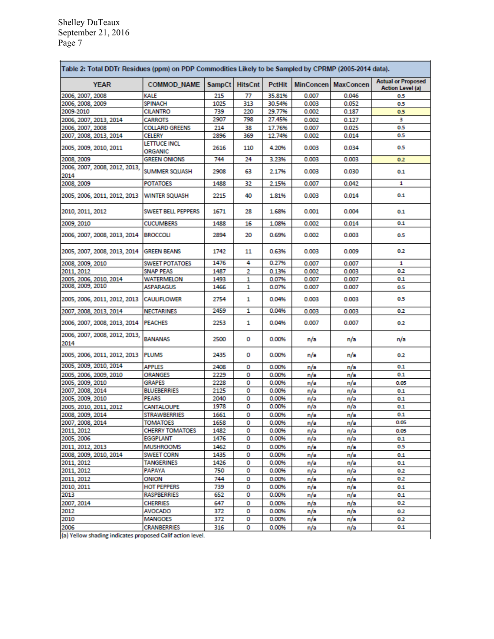| <b>YEAR</b>                           | <b>COMMOD NAME</b>                        | SampCt       | <b>HitsCnt</b> | <b>PctHit</b> | <b>MinConcen</b> | <b>MaxConcen</b> | <b>Actual or Proposed</b><br>Action Level (a) |
|---------------------------------------|-------------------------------------------|--------------|----------------|---------------|------------------|------------------|-----------------------------------------------|
| 2006, 2007, 2008                      | KALE                                      | 215          | 77             | 35.81%        | 0.007            | 0.046            | 0.5                                           |
| 2006, 2008, 2009                      | <b>SPINACH</b>                            | 1025         | 313            | 30.54%        | 0.003            | 0.052            | 0.5                                           |
| 2009-2010                             | <b>CILANTRO</b>                           | 739          | 220            | 29.77%        | 0.002            | 0.187            | 0.5                                           |
| 2006, 2007, 2013, 2014                | <b>CARROTS</b>                            | 2907         | 798            | 27.45%        | 0.002            | 0.127            | з                                             |
| 2006, 2007, 2008                      | <b>COLLARD GREENS</b>                     | 214          | 38             | 17.76%        | 0.007            | 0.025            | 0.5                                           |
| 2007, 2008, 2013, 2014                | <b>CELERY</b>                             | 2896         | 369            | 12.74%        | 0.002            | 0.014            | 0.5                                           |
| 2005, 2009, 2010, 2011                | LETTUCE INCL<br>ORGANIC                   | 2616         | 110            | 4.20%         | 0.003            | 0.034            | 0.5                                           |
| 2008.2009                             | <b>GREEN ONIONS</b>                       | 744          | 24             | 3.23%         | 0.003            | 0.003            | 0.2                                           |
| 2006, 2007, 2008, 2012, 2013,         |                                           |              |                |               |                  |                  |                                               |
| 2014                                  | <b>SUMMER SQUASH</b>                      | 2908         | 63             | 2.17%         | 0.003            | 0.030            | 0.1                                           |
| 2008, 2009                            | <b>POTATOES</b>                           | 1488         | 32             | 2.15%         | 0.007            | 0.042            | 1                                             |
| 2005, 2006, 2011, 2012, 2013          | <b>WINTER SQUASH</b>                      | 2215         | 40             | 1.81%         | 0.003            | 0.014            | 0.1                                           |
| 2010, 2011, 2012                      | <b>SWEET BELL PEPPERS</b>                 | 1671         | 28             | 1.68%         | 0.001            | 0.004            | 0.1                                           |
| 2009, 2010                            | <b>CUCUMBERS</b>                          | 1488         | 16             | 1.08%         | 0.002            | 0.014            | 0.1                                           |
|                                       |                                           |              |                |               |                  |                  |                                               |
| 2006, 2007, 2008, 2013, 2014          | <b>BROCCOLI</b>                           | 2894         | 20             | 0.69%         | 0.002            | 0.003            | 0.5                                           |
| 2005, 2007, 2008, 2013, 2014          | <b>GREEN BEANS</b>                        | 1742         | 11             | 0.63%         | 0.003            | 0.009            | 0.2                                           |
| 2008, 2009, 2010                      | <b>SWEET POTATOES</b>                     | 1476         | 4              | 0.27%         | 0.007            | 0.007            | 1                                             |
| 2011, 2012                            | <b>SNAP PEAS</b>                          | 1487         | 2              | 0.13%         | 0.002            | 0.003            | 0.2                                           |
| 2005, 2006, 2010, 2014                | WATERMELON                                | 1493         | 1              | 0.07%         | 0.007            | 0.007            | 0.1                                           |
| 2008, 2009, 2010                      | <b>ASPARAGUS</b>                          | 1466         | 1              | 0.07%         | 0.007            | 0.007            | 0.5                                           |
| 2005, 2006, 2011, 2012, 2013          | <b>CAULIFLOWER</b>                        | 2754         | 1              | 0.04%         | 0.003            | 0.003            | 0.5                                           |
| 2007, 2008, 2013, 2014                | <b>NECTARINES</b>                         | 2459         | 1              | 0.04%         | 0.003            | 0.003            | 0.2                                           |
| 2006, 2007, 2008, 2013, 2014          | <b>PEACHES</b>                            | 2253         | 1              | 0.04%         | 0.007            | 0.007            | 0.2                                           |
| 2006, 2007, 2008, 2012, 2013,<br>2014 | <b>BANANAS</b>                            | 2500         | 0              | 0.00%         | n/a              | n/a              | n/a                                           |
| 2005, 2006, 2011, 2012, 2013          | <b>PLUMS</b>                              | 2435         | 0              | 0.00%         | n/a              | n/a              | 0.2                                           |
| 2005, 2009, 2010, 2014                | <b>APPLES</b>                             | 2408         | 0              | 0.00%         | n/a              | n/a              | 0.1                                           |
| 2005, 2006, 2009, 2010                | <b>ORANGES</b>                            | 2229         | 0              | 0.00%         | n/a              | n/a              | 0.1                                           |
| 2005. 2009. 2010                      | <b>GRAPES</b>                             | 2228         | 0              | 0.00%         | n/a              | n/a              | 0.05                                          |
| 2007, 2008, 2014                      | <b>BLUEBERRIES</b>                        | 2125         | 0              | 0.00%         | n/a              | n/a              | 0.1                                           |
| 2005. 2009. 2010                      | <b>PEARS</b>                              | 2040         | 0              | 0.00%         | n/a              | n/a              | 0.1                                           |
| 2005, 2010, 2011, 2012                | CANTALOUPE                                | 1978         | 0              | 0.00%         | n/a              | n/a              | 0.1                                           |
| 2008, 2009, 2014                      | STRAWBERRIES                              | 1661         | 0              | 0.00%         |                  |                  | 0.1                                           |
| 2007, 2008, 2014                      |                                           |              |                | 0.00%         | n/a              | n/a              | 0.05                                          |
|                                       | <b>TOMATOES</b><br><b>CHERRY TOMATOES</b> | 1658<br>1482 | ٥<br>о         | 0.00%         | n/a              | n/a              | 0.05                                          |
| 2011, 2012                            |                                           |              | 0              |               | n/a              | n/a              |                                               |
| 2005, 2006                            | <b>EGGPLANT</b>                           | 1476         |                | 0.00%         | n/a              | n/a              | 0.1                                           |
| 2011, 2012, 2013                      | <b>MUSHROOMS</b>                          | 1462         | 0              | 0.00%         | n/a              | n/a              | 0.5                                           |
| 2008, 2009, 2010, 2014                | <b>SWEET CORN</b>                         | 1435         | о              | 0.00%         | n/a              | n/a              | 0.1                                           |
| 2011, 2012                            | <b>TANGERINES</b>                         | 1426         | 0              | 0.00%         | n/a              | n/a              | 0.1                                           |
| 2011, 2012                            | <b>PAPAYA</b>                             | 750          | 0              | 0.00%         | n/a              | n/a              | 0.2                                           |
| 2011, 2012                            | <b>ONION</b>                              | 744          | о              | 0.00%         | n/a              | n/a              | 0.2                                           |
| 2010, 2011                            | <b>HOT PEPPERS</b>                        | 739          | 0              | 0.00%         | n/a              | n/a              | 0.1                                           |
| 2013                                  | <b>RASPBERRIES</b>                        | 652          | 0              | 0.00%         | n/a              | n/a              | 0.1                                           |
| 2007, 2014                            | <b>CHERRIES</b>                           | 647          | 0              | 0.00%         | n/a              | n/a              | 0.2                                           |
| 2012                                  | AVOCADO                                   | 372          | 0              | 0.00%         | n/a              | n/a              | 0.2                                           |
| 2010                                  | <b>MANGOES</b>                            | 372          | 0              | 0.00%         | n/a              | n/a              | 0.2                                           |
| 2006                                  | <b>CRANBERRIES</b>                        | 316          | о              | 0.00%         | n/a              | n/a              | 0.1                                           |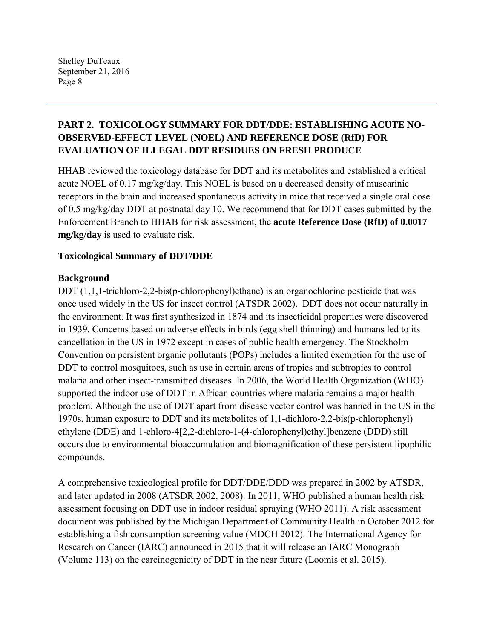## **PART 2. TOXICOLOGY SUMMARY FOR DDT/DDE: ESTABLISHING ACUTE NO-OBSERVED-EFFECT LEVEL (NOEL) AND REFERENCE DOSE (RfD) FOR EVALUATION OF ILLEGAL DDT RESIDUES ON FRESH PRODUCE**

HHAB reviewed the toxicology database for DDT and its metabolites and established a critical acute NOEL of 0.17 mg/kg/day. This NOEL is based on a decreased density of muscarinic receptors in the brain and increased spontaneous activity in mice that received a single oral dose of 0.5 mg/kg/day DDT at postnatal day 10. We recommend that for DDT cases submitted by the Enforcement Branch to HHAB for risk assessment, the **acute Reference Dose (RfD) of 0.0017 mg/kg/day** is used to evaluate risk.

## **Toxicological Summary of DDT/DDE**

## **Background**

DDT  $(1,1,1$ -trichloro-2,2-bis(p-chlorophenyl)ethane) is an organochlorine pesticide that was once used widely in the US for insect control (ATSDR 2002). DDT does not occur naturally in the environment. It was first synthesized in 1874 and its insecticidal properties were discovered in 1939. Concerns based on adverse effects in birds (egg shell thinning) and humans led to its cancellation in the US in 1972 except in cases of public health emergency. The Stockholm Convention on persistent organic pollutants (POPs) includes a limited exemption for the use of DDT to control mosquitoes, such as use in certain areas of tropics and subtropics to control malaria and other insect-transmitted diseases. In 2006, the World Health Organization (WHO) supported the indoor use of DDT in African countries where malaria remains a major health problem. Although the use of DDT apart from disease vector control was banned in the US in the 1970s, human exposure to DDT and its metabolites of 1,1-dichloro-2,2-bis(p-chlorophenyl) ethylene (DDE) and 1-chloro-4[2,2-dichloro-1-(4-chlorophenyl)ethyl]benzene (DDD) still occurs due to environmental bioaccumulation and biomagnification of these persistent lipophilic compounds.

A comprehensive toxicological profile for DDT/DDE/DDD was prepared in 2002 by ATSDR, and later updated in 2008 (ATSDR 2002, 2008). In 2011, WHO published a human health risk assessment focusing on DDT use in indoor residual spraying (WHO 2011). A risk assessment document was published by the Michigan Department of Community Health in October 2012 for establishing a fish consumption screening value (MDCH 2012). The International Agency for Research on Cancer (IARC) announced in 2015 that it will release an IARC Monograph (Volume 113) on the carcinogenicity of DDT in the near future (Loomis et al. 2015).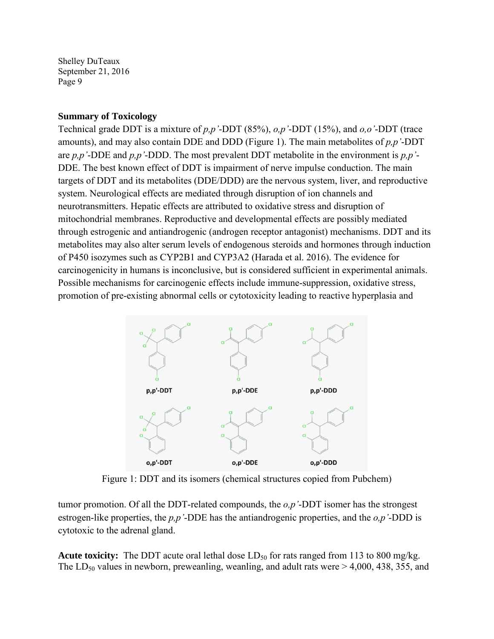#### **Summary of Toxicology**

Technical grade DDT is a mixture of *p,p'*-DDT (85%), *o,p'*-DDT (15%), and *o,o'*-DDT (trace amounts), and may also contain DDE and DDD (Figure 1). The main metabolites of *p,p'*-DDT are *p,p'*-DDE and *p,p'*-DDD. The most prevalent DDT metabolite in the environment is *p,p'*- DDE. The best known effect of DDT is impairment of nerve impulse conduction. The main targets of DDT and its metabolites (DDE/DDD) are the nervous system, liver, and reproductive system. Neurological effects are mediated through disruption of ion channels and neurotransmitters. Hepatic effects are attributed to oxidative stress and disruption of mitochondrial membranes. Reproductive and developmental effects are possibly mediated through estrogenic and antiandrogenic (androgen receptor antagonist) mechanisms. DDT and its metabolites may also alter serum levels of endogenous steroids and hormones through induction of P450 isozymes such as CYP2B1 and CYP3A2 (Harada et al. 2016). The evidence for carcinogenicity in humans is inconclusive, but is considered sufficient in experimental animals. Possible mechanisms for carcinogenic effects include immune-suppression, oxidative stress, promotion of pre-existing abnormal cells or cytotoxicity leading to reactive hyperplasia and



Figure 1: DDT and its isomers (chemical structures copied from Pubchem)

tumor promotion. Of all the DDT-related compounds, the *o,p'*-DDT isomer has the strongest estrogen-like properties, the *p,p'*-DDE has the antiandrogenic properties, and the *o,p'*-DDD is cytotoxic to the adrenal gland.

Acute toxicity: The DDT acute oral lethal dose LD<sub>50</sub> for rats ranged from 113 to 800 mg/kg. The  $LD_{50}$  values in newborn, preweanling, weanling, and adult rats were  $> 4,000, 438, 355,$  and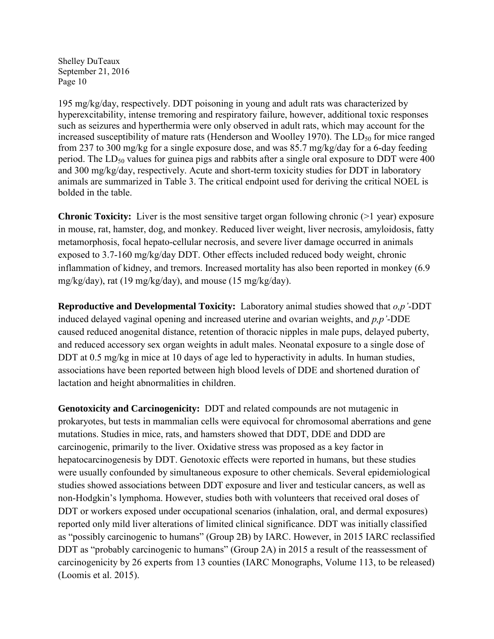195 mg/kg/day, respectively. DDT poisoning in young and adult rats was characterized by hyperexcitability, intense tremoring and respiratory failure, however, additional toxic responses such as seizures and hyperthermia were only observed in adult rats, which may account for the increased susceptibility of mature rats (Henderson and Woolley 1970). The  $LD_{50}$  for mice ranged from 237 to 300 mg/kg for a single exposure dose, and was 85.7 mg/kg/day for a 6-day feeding period. The  $LD_{50}$  values for guinea pigs and rabbits after a single oral exposure to DDT were 400 and 300 mg/kg/day, respectively. Acute and short-term toxicity studies for DDT in laboratory animals are summarized in Table 3. The critical endpoint used for deriving the critical NOEL is bolded in the table.

**Chronic Toxicity:** Liver is the most sensitive target organ following chronic (>1 year) exposure in mouse, rat, hamster, dog, and monkey. Reduced liver weight, liver necrosis, amyloidosis, fatty metamorphosis, focal hepato-cellular necrosis, and severe liver damage occurred in animals exposed to 3.7-160 mg/kg/day DDT. Other effects included reduced body weight, chronic inflammation of kidney, and tremors. Increased mortality has also been reported in monkey (6.9 mg/kg/day), rat (19 mg/kg/day), and mouse (15 mg/kg/day).

**Reproductive and Developmental Toxicity:** Laboratory animal studies showed that *o,p'*-DDT induced delayed vaginal opening and increased uterine and ovarian weights, and *p,p'*-DDE caused reduced anogenital distance, retention of thoracic nipples in male pups, delayed puberty, and reduced accessory sex organ weights in adult males. Neonatal exposure to a single dose of DDT at 0.5 mg/kg in mice at 10 days of age led to hyperactivity in adults. In human studies, associations have been reported between high blood levels of DDE and shortened duration of lactation and height abnormalities in children.

**Genotoxicity and Carcinogenicity:** DDT and related compounds are not mutagenic in prokaryotes, but tests in mammalian cells were equivocal for chromosomal aberrations and gene mutations. Studies in mice, rats, and hamsters showed that DDT, DDE and DDD are carcinogenic, primarily to the liver. Oxidative stress was proposed as a key factor in hepatocarcinogenesis by DDT. Genotoxic effects were reported in humans, but these studies were usually confounded by simultaneous exposure to other chemicals. Several epidemiological studies showed associations between DDT exposure and liver and testicular cancers, as well as non-Hodgkin's lymphoma. However, studies both with volunteers that received oral doses of DDT or workers exposed under occupational scenarios (inhalation, oral, and dermal exposures) reported only mild liver alterations of limited clinical significance. DDT was initially classified as "possibly carcinogenic to humans" (Group 2B) by IARC. However, in 2015 IARC reclassified DDT as "probably carcinogenic to humans" (Group 2A) in 2015 a result of the reassessment of carcinogenicity by 26 experts from 13 counties (IARC Monographs, Volume 113, to be released) (Loomis et al. 2015).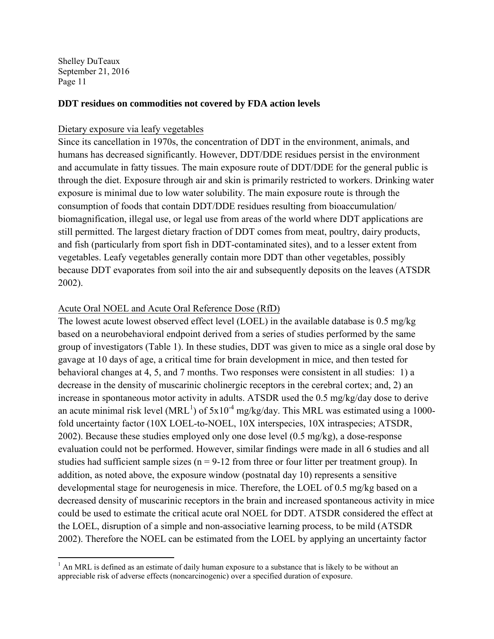#### **DDT residues on commodities not covered by FDA action levels**

#### Dietary exposure via leafy vegetables

Since its cancellation in 1970s, the concentration of DDT in the environment, animals, and humans has decreased significantly. However, DDT/DDE residues persist in the environment and accumulate in fatty tissues. The main exposure route of DDT/DDE for the general public is through the diet. Exposure through air and skin is primarily restricted to workers. Drinking water exposure is minimal due to low water solubility. The main exposure route is through the consumption of foods that contain DDT/DDE residues resulting from bioaccumulation/ biomagnification, illegal use, or legal use from areas of the world where DDT applications are still permitted. The largest dietary fraction of DDT comes from meat, poultry, dairy products, and fish (particularly from sport fish in DDT-contaminated sites), and to a lesser extent from vegetables. Leafy vegetables generally contain more DDT than other vegetables, possibly because DDT evaporates from soil into the air and subsequently deposits on the leaves (ATSDR 2002).

#### Acute Oral NOEL and Acute Oral Reference Dose (RfD)

The lowest acute lowest observed effect level (LOEL) in the available database is 0.5 mg/kg based on a neurobehavioral endpoint derived from a series of studies performed by the same group of investigators (Table 1). In these studies, DDT was given to mice as a single oral dose by gavage at 10 days of age, a critical time for brain development in mice, and then tested for behavioral changes at 4, 5, and 7 months. Two responses were consistent in all studies: 1) a decrease in the density of muscarinic cholinergic receptors in the cerebral cortex; and, 2) an increase in spontaneous motor activity in adults. ATSDR used the 0.5 mg/kg/day dose to derive an acute minimal risk level (MRL<sup>1</sup>) of  $5x10^{-4}$  mg/kg/day. This MRL was estimated using a 1000fold uncertainty factor (10X LOEL-to-NOEL, 10X interspecies, 10X intraspecies; ATSDR, 2002). Because these studies employed only one dose level (0.5 mg/kg), a dose-response evaluation could not be performed. However, similar findings were made in all 6 studies and all studies had sufficient sample sizes ( $n = 9-12$  from three or four litter per treatment group). In addition, as noted above, the exposure window (postnatal day 10) represents a sensitive developmental stage for neurogenesis in mice. Therefore, the LOEL of 0.5 mg/kg based on a decreased density of muscarinic receptors in the brain and increased spontaneous activity in mice could be used to estimate the critical acute oral NOEL for DDT. ATSDR considered the effect at the LOEL, disruption of a simple and non-associative learning process, to be mild (ATSDR 2002). Therefore the NOEL can be estimated from the LOEL by applying an uncertainty factor

 $1$  An MRL is defined as an estimate of daily human exposure to a substance that is likely to be without an appreciable risk of adverse effects (noncarcinogenic) over a specified duration of exposure.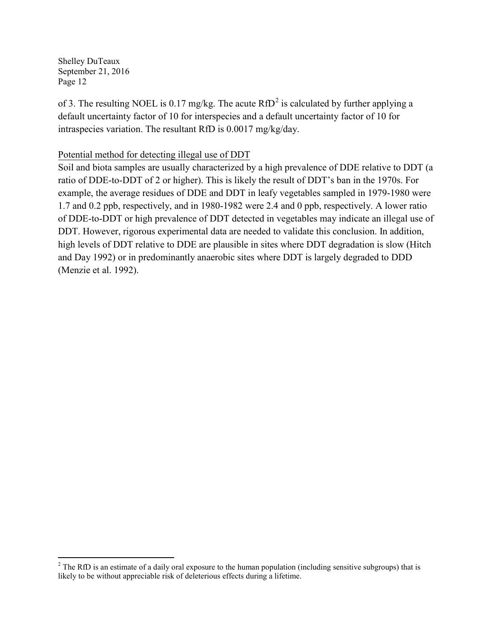of 3. The resulting NOEL is 0.17 mg/kg. The acute  $RfD^2$  $RfD^2$  is calculated by further applying a default uncertainty factor of 10 for interspecies and a default uncertainty factor of 10 for intraspecies variation. The resultant RfD is 0.0017 mg/kg/day.

### Potential method for detecting illegal use of DDT

Soil and biota samples are usually characterized by a high prevalence of DDE relative to DDT (a ratio of DDE-to-DDT of 2 or higher). This is likely the result of DDT's ban in the 1970s. For example, the average residues of DDE and DDT in leafy vegetables sampled in 1979-1980 were 1.7 and 0.2 ppb, respectively, and in 1980-1982 were 2.4 and 0 ppb, respectively. A lower ratio of DDE-to-DDT or high prevalence of DDT detected in vegetables may indicate an illegal use of DDT. However, rigorous experimental data are needed to validate this conclusion. In addition, high levels of DDT relative to DDE are plausible in sites where DDT degradation is slow (Hitch and Day 1992) or in predominantly anaerobic sites where DDT is largely degraded to DDD (Menzie et al. 1992).

<span id="page-11-0"></span> $^{2}$  The RfD is an estimate of a daily oral exposure to the human population (including sensitive subgroups) that is likely to be without appreciable risk of deleterious effects during a lifetime.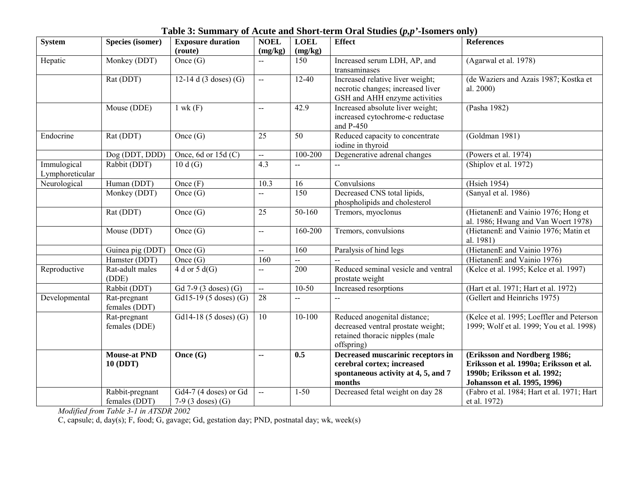**Table 3: Summary of Acute and Short-term Oral Studies (***p,p'***-Isomers only)** 

| System                         | <b>Species (isomer)</b>                | <b>Exposure duration</b><br>(route)            | <b>NOEL</b><br>(mg/kg)    | <b>LOEL</b><br>(mg/kg) | <b>Effect</b>                                                                                                       | <b>References</b>                                                                                                                      |
|--------------------------------|----------------------------------------|------------------------------------------------|---------------------------|------------------------|---------------------------------------------------------------------------------------------------------------------|----------------------------------------------------------------------------------------------------------------------------------------|
| Hepatic                        | Monkey (DDT)                           | Once $(G)$                                     | $\overline{a}$            | 150                    | Increased serum LDH, AP, and<br>transaminases                                                                       | (Agarwal et al. 1978)                                                                                                                  |
|                                | Rat (DDT)                              | 12-14 d $(3$ doses) $(G)$                      | $-$                       | $12-40$                | Increased relative liver weight;<br>necrotic changes; increased liver<br>GSH and AHH enzyme activities              | (de Waziers and Azais 1987; Kostka et<br>al. 2000)                                                                                     |
|                                | Mouse (DDE)                            | $1$ wk $(F)$                                   | $\mathbf{u}$              | 42.9                   | Increased absolute liver weight;<br>increased cytochrome-c reductase<br>and P-450                                   | (Pasha 1982)                                                                                                                           |
| Endocrine                      | Rat (DDT)                              | Once (G)                                       | 25                        | 50                     | Reduced capacity to concentrate<br>iodine in thyroid                                                                | (Goldman 1981)                                                                                                                         |
|                                | Dog (DDT, DDD)                         | Once, 6d or $15d$ (C)                          | $\overline{a}$            | 100-200                | Degenerative adrenal changes                                                                                        | (Powers et al. 1974)                                                                                                                   |
| Immulogical<br>Lymphoreticular | Rabbit (DDT)                           | 10d(G)                                         | 4.3                       | --                     | $\mathord{\hspace{1pt}\text{--}\hspace{1pt}}$                                                                       | (Shiplov et al. 1972)                                                                                                                  |
| Neurological                   | Human (DDT)                            | Once $(F)$                                     | 10.3                      | 16                     | Convulsions                                                                                                         | (Hsieh 1954)                                                                                                                           |
|                                | Monkey (DDT)                           | Once $(G)$                                     | $\overline{a}$            | 150                    | Decreased CNS total lipids,<br>phospholipids and cholesterol                                                        | (Sanyal et al. 1986)                                                                                                                   |
|                                | Rat (DDT)                              | Once $(G)$                                     | 25                        | $50-160$               | Tremors, myoclonus                                                                                                  | (HietanenE and Vainio 1976; Hong et<br>al. 1986; Hwang and Van Woert 1978)                                                             |
|                                | Mouse (DDT)                            | Once $(G)$                                     | $\sim$ $\sim$             | 160-200                | Tremors, convulsions                                                                                                | (HietanenE and Vainio 1976; Matin et<br>al. 1981)                                                                                      |
|                                | Guinea pig (DDT)                       | Once $(G)$                                     | $\sim$                    | 160                    | Paralysis of hind legs                                                                                              | (HietanenE and Vainio 1976)                                                                                                            |
|                                | Hamster (DDT)                          | Once $(G)$                                     | 160                       |                        |                                                                                                                     | (HietanenE and Vainio 1976)                                                                                                            |
| Reproductive                   | Rat-adult males<br>(DDE)               | 4 d or 5 d(G)                                  | $\mathbf{u}$              | 200                    | Reduced seminal vesicle and ventral<br>prostate weight                                                              | (Kelce et al. 1995; Kelce et al. 1997)                                                                                                 |
|                                | Rabbit (DDT)                           | Gd 7-9 (3 doses) (G)                           | $\mathbb{L}^{\mathbb{L}}$ | $10-50$                | Increased resorptions                                                                                               | (Hart et al. 1971; Hart et al. 1972)                                                                                                   |
| Developmental                  | Rat-pregnant<br>females (DDT)          | Gd15-19 (5 doses) (G)                          | $\overline{28}$           | --                     |                                                                                                                     | (Gellert and Heinrichs 1975)                                                                                                           |
|                                | Rat-pregnant<br>females (DDE)          | $\overline{Gd14}$ -18 (5 doses) (G)            | 10                        | $10 - 100$             | Reduced anogenital distance;<br>decreased ventral prostate weight;<br>retained thoracic nipples (male<br>offspring) | (Kelce et al. 1995; Loeffler and Peterson<br>1999; Wolf et al. 1999; You et al. 1998)                                                  |
|                                | <b>Mouse-at PND</b><br><b>10 (DDT)</b> | Once (G)                                       | $\sim$                    | 0.5                    | Decreased muscarinic receptors in<br>cerebral cortex; increased<br>spontaneous activity at 4, 5, and 7<br>months    | (Eriksson and Nordberg 1986;<br>Eriksson et al. 1990a; Eriksson et al.<br>1990b; Eriksson et al. 1992;<br>Johansson et al. 1995, 1996) |
|                                | Rabbit-pregnant<br>females (DDT)       | Gd4-7 (4 doses) or Gd<br>7-9 $(3$ doses) $(G)$ | $\mathbb{L}^{\mathbb{L}}$ | $1 - 50$               | Decreased fetal weight on day 28                                                                                    | (Fabro et al. 1984; Hart et al. 1971; Hart<br>et al. 1972)                                                                             |

*Modified from Table 3-1 in ATSDR 2002*

C, capsule; d, day(s); F, food; G, gavage; Gd, gestation day; PND, postnatal day; wk, week(s)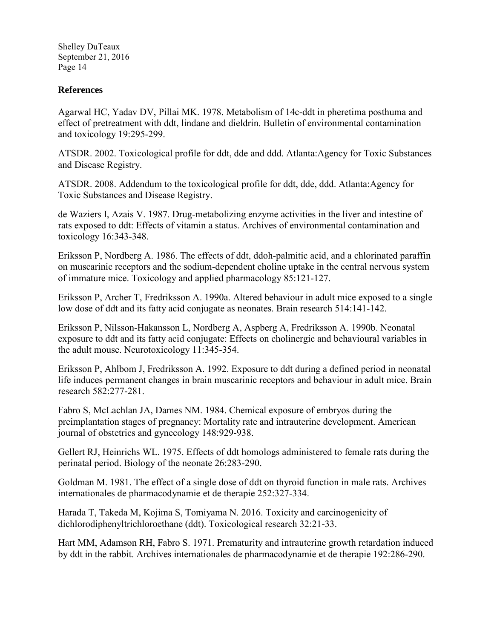#### **References**

Agarwal HC, Yadav DV, Pillai MK. 1978. Metabolism of 14c-ddt in pheretima posthuma and effect of pretreatment with ddt, lindane and dieldrin. Bulletin of environmental contamination and toxicology 19:295-299.

ATSDR. 2002. Toxicological profile for ddt, dde and ddd. Atlanta:Agency for Toxic Substances and Disease Registry.

ATSDR. 2008. Addendum to the toxicological profile for ddt, dde, ddd. Atlanta:Agency for Toxic Substances and Disease Registry.

de Waziers I, Azais V. 1987. Drug-metabolizing enzyme activities in the liver and intestine of rats exposed to ddt: Effects of vitamin a status. Archives of environmental contamination and toxicology 16:343-348.

Eriksson P, Nordberg A. 1986. The effects of ddt, ddoh-palmitic acid, and a chlorinated paraffin on muscarinic receptors and the sodium-dependent choline uptake in the central nervous system of immature mice. Toxicology and applied pharmacology 85:121-127.

Eriksson P, Archer T, Fredriksson A. 1990a. Altered behaviour in adult mice exposed to a single low dose of ddt and its fatty acid conjugate as neonates. Brain research 514:141-142.

Eriksson P, Nilsson-Hakansson L, Nordberg A, Aspberg A, Fredriksson A. 1990b. Neonatal exposure to ddt and its fatty acid conjugate: Effects on cholinergic and behavioural variables in the adult mouse. Neurotoxicology 11:345-354.

Eriksson P, Ahlbom J, Fredriksson A. 1992. Exposure to ddt during a defined period in neonatal life induces permanent changes in brain muscarinic receptors and behaviour in adult mice. Brain research 582:277-281.

Fabro S, McLachlan JA, Dames NM. 1984. Chemical exposure of embryos during the preimplantation stages of pregnancy: Mortality rate and intrauterine development. American journal of obstetrics and gynecology 148:929-938.

Gellert RJ, Heinrichs WL. 1975. Effects of ddt homologs administered to female rats during the perinatal period. Biology of the neonate 26:283-290.

Goldman M. 1981. The effect of a single dose of ddt on thyroid function in male rats. Archives internationales de pharmacodynamie et de therapie 252:327-334.

Harada T, Takeda M, Kojima S, Tomiyama N. 2016. Toxicity and carcinogenicity of dichlorodiphenyltrichloroethane (ddt). Toxicological research 32:21-33.

Hart MM, Adamson RH, Fabro S. 1971. Prematurity and intrauterine growth retardation induced by ddt in the rabbit. Archives internationales de pharmacodynamie et de therapie 192:286-290.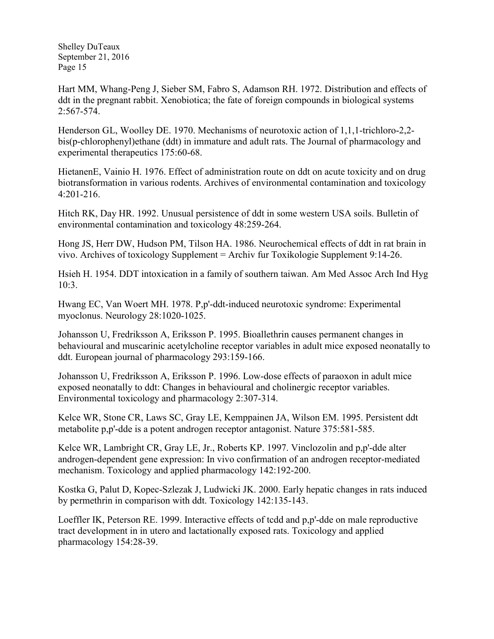Hart MM, Whang-Peng J, Sieber SM, Fabro S, Adamson RH. 1972. Distribution and effects of ddt in the pregnant rabbit. Xenobiotica; the fate of foreign compounds in biological systems 2:567-574.

Henderson GL, Woolley DE. 1970. Mechanisms of neurotoxic action of 1,1,1-trichloro-2,2 bis(p-chlorophenyl)ethane (ddt) in immature and adult rats. The Journal of pharmacology and experimental therapeutics 175:60-68.

HietanenE, Vainio H. 1976. Effect of administration route on ddt on acute toxicity and on drug biotransformation in various rodents. Archives of environmental contamination and toxicology 4:201-216.

Hitch RK, Day HR. 1992. Unusual persistence of ddt in some western USA soils. Bulletin of environmental contamination and toxicology 48:259-264.

Hong JS, Herr DW, Hudson PM, Tilson HA. 1986. Neurochemical effects of ddt in rat brain in vivo. Archives of toxicology Supplement = Archiv fur Toxikologie Supplement 9:14-26.

Hsieh H. 1954. DDT intoxication in a family of southern taiwan. Am Med Assoc Arch Ind Hyg 10:3.

Hwang EC, Van Woert MH. 1978. P,p'-ddt-induced neurotoxic syndrome: Experimental myoclonus. Neurology 28:1020-1025.

Johansson U, Fredriksson A, Eriksson P. 1995. Bioallethrin causes permanent changes in behavioural and muscarinic acetylcholine receptor variables in adult mice exposed neonatally to ddt. European journal of pharmacology 293:159-166.

Johansson U, Fredriksson A, Eriksson P. 1996. Low-dose effects of paraoxon in adult mice exposed neonatally to ddt: Changes in behavioural and cholinergic receptor variables. Environmental toxicology and pharmacology 2:307-314.

Kelce WR, Stone CR, Laws SC, Gray LE, Kemppainen JA, Wilson EM. 1995. Persistent ddt metabolite p,p'-dde is a potent androgen receptor antagonist. Nature 375:581-585.

Kelce WR, Lambright CR, Gray LE, Jr., Roberts KP. 1997. Vinclozolin and p,p'-dde alter androgen-dependent gene expression: In vivo confirmation of an androgen receptor-mediated mechanism. Toxicology and applied pharmacology 142:192-200.

Kostka G, Palut D, Kopec-Szlezak J, Ludwicki JK. 2000. Early hepatic changes in rats induced by permethrin in comparison with ddt. Toxicology 142:135-143.

Loeffler IK, Peterson RE. 1999. Interactive effects of tcdd and p,p'-dde on male reproductive tract development in in utero and lactationally exposed rats. Toxicology and applied pharmacology 154:28-39.